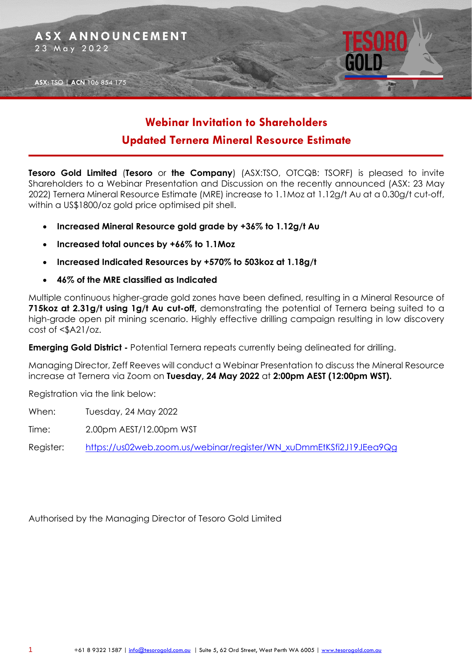

# **Webinar Invitation to Shareholders Updated Ternera Mineral Resource Estimate**

**Tesoro Gold Limited** (**Tesoro** or **the Company**) (ASX:TSO, OTCQB: TSORF) is pleased to invite Shareholders to a Webinar Presentation and Discussion on the recently announced (ASX: 23 May 2022) Ternera Mineral Resource Estimate (MRE) increase to 1.1Moz at 1.12g/t Au at a 0.30g/t cut-off, within a US\$1800/oz gold price optimised pit shell.

- **Increased Mineral Resource gold grade by +36% to 1.12g/t Au**
- **Increased total ounces by +66% to 1.1Moz**
- **Increased Indicated Resources by +570% to 503koz at 1.18g/t**
- **46% of the MRE classified as Indicated**

Multiple continuous higher-grade gold zones have been defined, resulting in a Mineral Resource of **715koz at 2.31g/t using 1g/t Au cut-off,** demonstrating the potential of Ternera being suited to a high-grade open pit mining scenario. Highly effective drilling campaign resulting in low discovery cost of <\$A21/oz.

**Emerging Gold District -** Potential Ternera repeats currently being delineated for drilling.

Managing Director, Zeff Reeves will conduct a Webinar Presentation to discuss the Mineral Resource increase at Ternera via Zoom on **Tuesday, 24 May 2022** at **2:00pm AEST (12:00pm WST).** 

Registration via the link below:

When: Tuesday, 24 May 2022

Time: 2.00pm AEST/12.00pm WST

Register: [https://us02web.zoom.us/webinar/register/WN\\_xuDmmEtKSfi2J19JEea9Qg](https://us02web.zoom.us/webinar/register/WN_xuDmmEtKSfi2J19JEea9Qg)

Authorised by the Managing Director of Tesoro Gold Limited